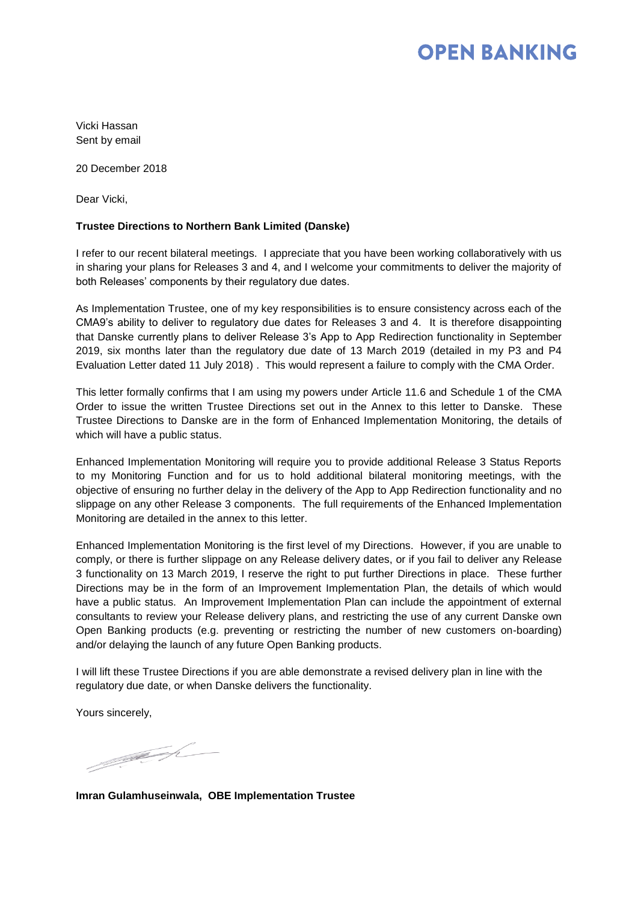## **OPEN BANKING**

Vicki Hassan Sent by email

20 December 2018

Dear Vicki,

### **Trustee Directions to Northern Bank Limited (Danske)**

I refer to our recent bilateral meetings. I appreciate that you have been working collaboratively with us in sharing your plans for Releases 3 and 4, and I welcome your commitments to deliver the majority of both Releases' components by their regulatory due dates.

As Implementation Trustee, one of my key responsibilities is to ensure consistency across each of the CMA9's ability to deliver to regulatory due dates for Releases 3 and 4. It is therefore disappointing that Danske currently plans to deliver Release 3's App to App Redirection functionality in September 2019, six months later than the regulatory due date of 13 March 2019 (detailed in my P3 and P4 Evaluation Letter dated 11 July 2018) . This would represent a failure to comply with the CMA Order.

This letter formally confirms that I am using my powers under Article 11.6 and Schedule 1 of the CMA Order to issue the written Trustee Directions set out in the Annex to this letter to Danske. These Trustee Directions to Danske are in the form of Enhanced Implementation Monitoring, the details of which will have a public status.

Enhanced Implementation Monitoring will require you to provide additional Release 3 Status Reports to my Monitoring Function and for us to hold additional bilateral monitoring meetings, with the objective of ensuring no further delay in the delivery of the App to App Redirection functionality and no slippage on any other Release 3 components. The full requirements of the Enhanced Implementation Monitoring are detailed in the annex to this letter.

Enhanced Implementation Monitoring is the first level of my Directions. However, if you are unable to comply, or there is further slippage on any Release delivery dates, or if you fail to deliver any Release 3 functionality on 13 March 2019, I reserve the right to put further Directions in place. These further Directions may be in the form of an Improvement Implementation Plan, the details of which would have a public status. An Improvement Implementation Plan can include the appointment of external consultants to review your Release delivery plans, and restricting the use of any current Danske own Open Banking products (e.g. preventing or restricting the number of new customers on-boarding) and/or delaying the launch of any future Open Banking products.

I will lift these Trustee Directions if you are able demonstrate a revised delivery plan in line with the regulatory due date, or when Danske delivers the functionality.

Yours sincerely,

1999 R

**Imran Gulamhuseinwala, OBE Implementation Trustee**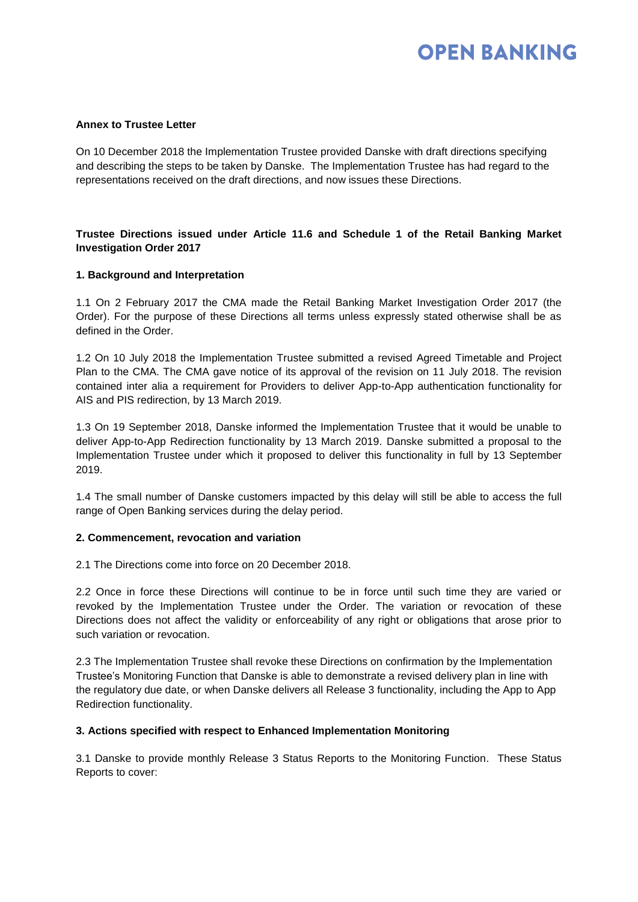# **OPEN BANKING**

## **Annex to Trustee Letter**

On 10 December 2018 the Implementation Trustee provided Danske with draft directions specifying and describing the steps to be taken by Danske. The Implementation Trustee has had regard to the representations received on the draft directions, and now issues these Directions.

## **Trustee Directions issued under Article 11.6 and Schedule 1 of the Retail Banking Market Investigation Order 2017**

## **1. Background and Interpretation**

1.1 On 2 February 2017 the CMA made the Retail Banking Market Investigation Order 2017 (the Order). For the purpose of these Directions all terms unless expressly stated otherwise shall be as defined in the Order.

1.2 On 10 July 2018 the Implementation Trustee submitted a revised Agreed Timetable and Project Plan to the CMA. The CMA gave notice of its approval of the revision on 11 July 2018. The revision contained inter alia a requirement for Providers to deliver App-to-App authentication functionality for AIS and PIS redirection, by 13 March 2019.

1.3 On 19 September 2018, Danske informed the Implementation Trustee that it would be unable to deliver App-to-App Redirection functionality by 13 March 2019. Danske submitted a proposal to the Implementation Trustee under which it proposed to deliver this functionality in full by 13 September 2019.

1.4 The small number of Danske customers impacted by this delay will still be able to access the full range of Open Banking services during the delay period.

### **2. Commencement, revocation and variation**

2.1 The Directions come into force on 20 December 2018.

2.2 Once in force these Directions will continue to be in force until such time they are varied or revoked by the Implementation Trustee under the Order. The variation or revocation of these Directions does not affect the validity or enforceability of any right or obligations that arose prior to such variation or revocation.

2.3 The Implementation Trustee shall revoke these Directions on confirmation by the Implementation Trustee's Monitoring Function that Danske is able to demonstrate a revised delivery plan in line with the regulatory due date, or when Danske delivers all Release 3 functionality, including the App to App Redirection functionality.

### **3. Actions specified with respect to Enhanced Implementation Monitoring**

3.1 Danske to provide monthly Release 3 Status Reports to the Monitoring Function. These Status Reports to cover: